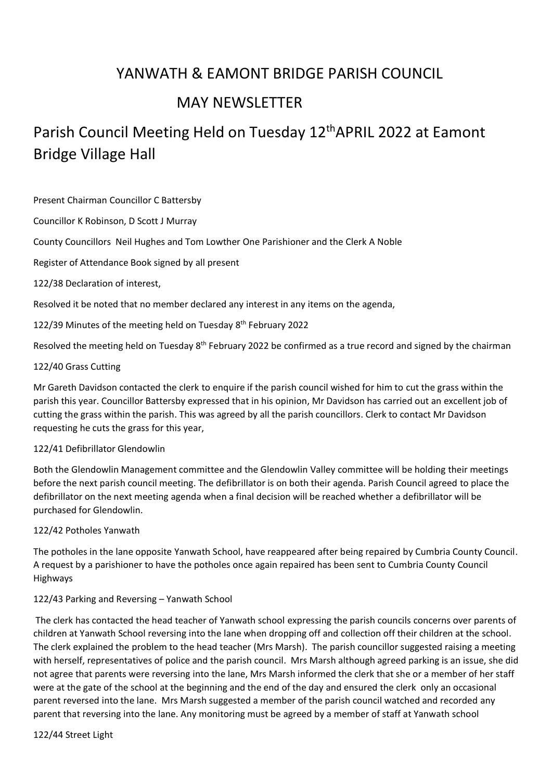# YANWATH & EAMONT BRIDGE PARISH COUNCIL

# MAY NEWSLETTER

# Parish Council Meeting Held on Tuesday 12<sup>th</sup> APRIL 2022 at Eamont Bridge Village Hall

Present Chairman Councillor C Battersby

Councillor K Robinson, D Scott J Murray

County Councillors Neil Hughes and Tom Lowther One Parishioner and the Clerk A Noble

Register of Attendance Book signed by all present

122/38 Declaration of interest,

Resolved it be noted that no member declared any interest in any items on the agenda,

122/39 Minutes of the meeting held on Tuesday 8<sup>th</sup> February 2022

Resolved the meeting held on Tuesday 8<sup>th</sup> February 2022 be confirmed as a true record and signed by the chairman

#### 122/40 Grass Cutting

Mr Gareth Davidson contacted the clerk to enquire if the parish council wished for him to cut the grass within the parish this year. Councillor Battersby expressed that in his opinion, Mr Davidson has carried out an excellent job of cutting the grass within the parish. This was agreed by all the parish councillors. Clerk to contact Mr Davidson requesting he cuts the grass for this year,

#### 122/41 Defibrillator Glendowlin

Both the Glendowlin Management committee and the Glendowlin Valley committee will be holding their meetings before the next parish council meeting. The defibrillator is on both their agenda. Parish Council agreed to place the defibrillator on the next meeting agenda when a final decision will be reached whether a defibrillator will be purchased for Glendowlin.

#### 122/42 Potholes Yanwath

The potholes in the lane opposite Yanwath School, have reappeared after being repaired by Cumbria County Council. A request by a parishioner to have the potholes once again repaired has been sent to Cumbria County Council Highways

### 122/43 Parking and Reversing – Yanwath School

The clerk has contacted the head teacher of Yanwath school expressing the parish councils concerns over parents of children at Yanwath School reversing into the lane when dropping off and collection off their children at the school. The clerk explained the problem to the head teacher (Mrs Marsh). The parish councillor suggested raising a meeting with herself, representatives of police and the parish council. Mrs Marsh although agreed parking is an issue, she did not agree that parents were reversing into the lane, Mrs Marsh informed the clerk that she or a member of her staff were at the gate of the school at the beginning and the end of the day and ensured the clerk only an occasional parent reversed into the lane. Mrs Marsh suggested a member of the parish council watched and recorded any parent that reversing into the lane. Any monitoring must be agreed by a member of staff at Yanwath school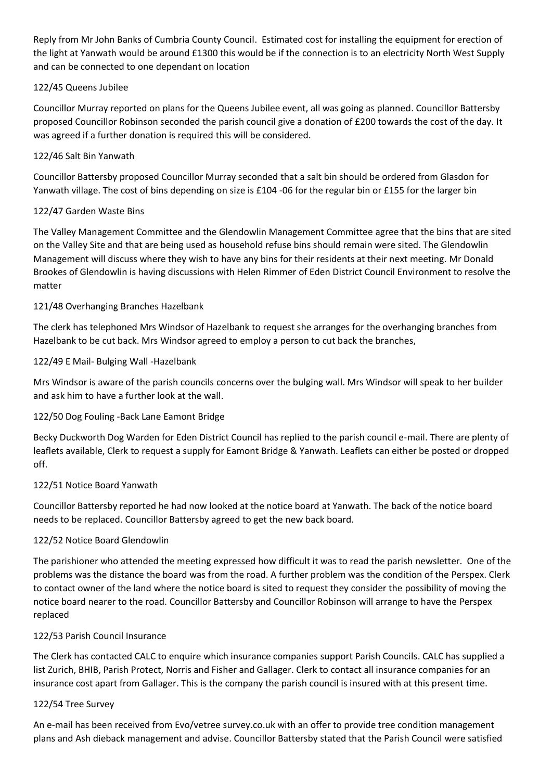Reply from Mr John Banks of Cumbria County Council. Estimated cost for installing the equipment for erection of the light at Yanwath would be around £1300 this would be if the connection is to an electricity North West Supply and can be connected to one dependant on location

# 122/45 Queens Jubilee

Councillor Murray reported on plans for the Queens Jubilee event, all was going as planned. Councillor Battersby proposed Councillor Robinson seconded the parish council give a donation of £200 towards the cost of the day. It was agreed if a further donation is required this will be considered.

# 122/46 Salt Bin Yanwath

Councillor Battersby proposed Councillor Murray seconded that a salt bin should be ordered from Glasdon for Yanwath village. The cost of bins depending on size is £104 -06 for the regular bin or £155 for the larger bin

### 122/47 Garden Waste Bins

The Valley Management Committee and the Glendowlin Management Committee agree that the bins that are sited on the Valley Site and that are being used as household refuse bins should remain were sited. The Glendowlin Management will discuss where they wish to have any bins for their residents at their next meeting. Mr Donald Brookes of Glendowlin is having discussions with Helen Rimmer of Eden District Council Environment to resolve the matter

# 121/48 Overhanging Branches Hazelbank

The clerk has telephoned Mrs Windsor of Hazelbank to request she arranges for the overhanging branches from Hazelbank to be cut back. Mrs Windsor agreed to employ a person to cut back the branches,

### 122/49 E Mail- Bulging Wall -Hazelbank

Mrs Windsor is aware of the parish councils concerns over the bulging wall. Mrs Windsor will speak to her builder and ask him to have a further look at the wall.

### 122/50 Dog Fouling -Back Lane Eamont Bridge

Becky Duckworth Dog Warden for Eden District Council has replied to the parish council e-mail. There are plenty of leaflets available, Clerk to request a supply for Eamont Bridge & Yanwath. Leaflets can either be posted or dropped off.

### 122/51 Notice Board Yanwath

Councillor Battersby reported he had now looked at the notice board at Yanwath. The back of the notice board needs to be replaced. Councillor Battersby agreed to get the new back board.

### 122/52 Notice Board Glendowlin

The parishioner who attended the meeting expressed how difficult it was to read the parish newsletter. One of the problems was the distance the board was from the road. A further problem was the condition of the Perspex. Clerk to contact owner of the land where the notice board is sited to request they consider the possibility of moving the notice board nearer to the road. Councillor Battersby and Councillor Robinson will arrange to have the Perspex replaced

### 122/53 Parish Council Insurance

The Clerk has contacted CALC to enquire which insurance companies support Parish Councils. CALC has supplied a list Zurich, BHIB, Parish Protect, Norris and Fisher and Gallager. Clerk to contact all insurance companies for an insurance cost apart from Gallager. This is the company the parish council is insured with at this present time.

### 122/54 Tree Survey

An e-mail has been received from Evo/vetree survey.co.uk with an offer to provide tree condition management plans and Ash dieback management and advise. Councillor Battersby stated that the Parish Council were satisfied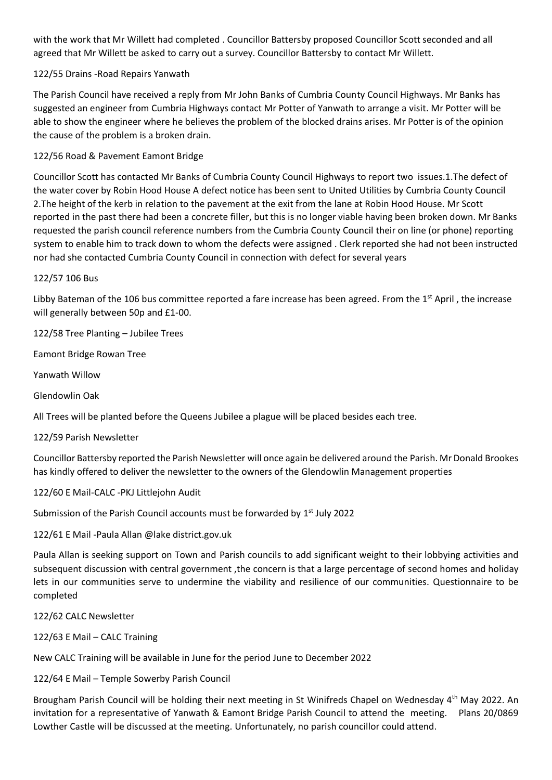with the work that Mr Willett had completed . Councillor Battersby proposed Councillor Scott seconded and all agreed that Mr Willett be asked to carry out a survey. Councillor Battersby to contact Mr Willett.

# 122/55 Drains -Road Repairs Yanwath

The Parish Council have received a reply from Mr John Banks of Cumbria County Council Highways. Mr Banks has suggested an engineer from Cumbria Highways contact Mr Potter of Yanwath to arrange a visit. Mr Potter will be able to show the engineer where he believes the problem of the blocked drains arises. Mr Potter is of the opinion the cause of the problem is a broken drain.

122/56 Road & Pavement Eamont Bridge

Councillor Scott has contacted Mr Banks of Cumbria County Council Highways to report two issues.1.The defect of the water cover by Robin Hood House A defect notice has been sent to United Utilities by Cumbria County Council 2.The height of the kerb in relation to the pavement at the exit from the lane at Robin Hood House. Mr Scott reported in the past there had been a concrete filler, but this is no longer viable having been broken down. Mr Banks requested the parish council reference numbers from the Cumbria County Council their on line (or phone) reporting system to enable him to track down to whom the defects were assigned . Clerk reported she had not been instructed nor had she contacted Cumbria County Council in connection with defect for several years

#### 122/57 106 Bus

Libby Bateman of the 106 bus committee reported a fare increase has been agreed. From the  $1<sup>st</sup>$  April, the increase will generally between 50p and £1-00.

122/58 Tree Planting – Jubilee Trees

Eamont Bridge Rowan Tree

Yanwath Willow

Glendowlin Oak

All Trees will be planted before the Queens Jubilee a plague will be placed besides each tree.

#### 122/59 Parish Newsletter

Councillor Battersby reported the Parish Newsletter will once again be delivered around the Parish. Mr Donald Brookes has kindly offered to deliver the newsletter to the owners of the Glendowlin Management properties

122/60 E Mail-CALC -PKJ Littlejohn Audit

Submission of the Parish Council accounts must be forwarded by 1<sup>st</sup> July 2022

122/61 E Mail -Paula Allan @lake district.gov.uk

Paula Allan is seeking support on Town and Parish councils to add significant weight to their lobbying activities and subsequent discussion with central government ,the concern is that a large percentage of second homes and holiday lets in our communities serve to undermine the viability and resilience of our communities. Questionnaire to be completed

122/62 CALC Newsletter

122/63 E Mail – CALC Training

New CALC Training will be available in June for the period June to December 2022

122/64 E Mail – Temple Sowerby Parish Council

Brougham Parish Council will be holding their next meeting in St Winifreds Chapel on Wednesday 4th May 2022. An invitation for a representative of Yanwath & Eamont Bridge Parish Council to attend the meeting. Plans 20/0869 Lowther Castle will be discussed at the meeting. Unfortunately, no parish councillor could attend.